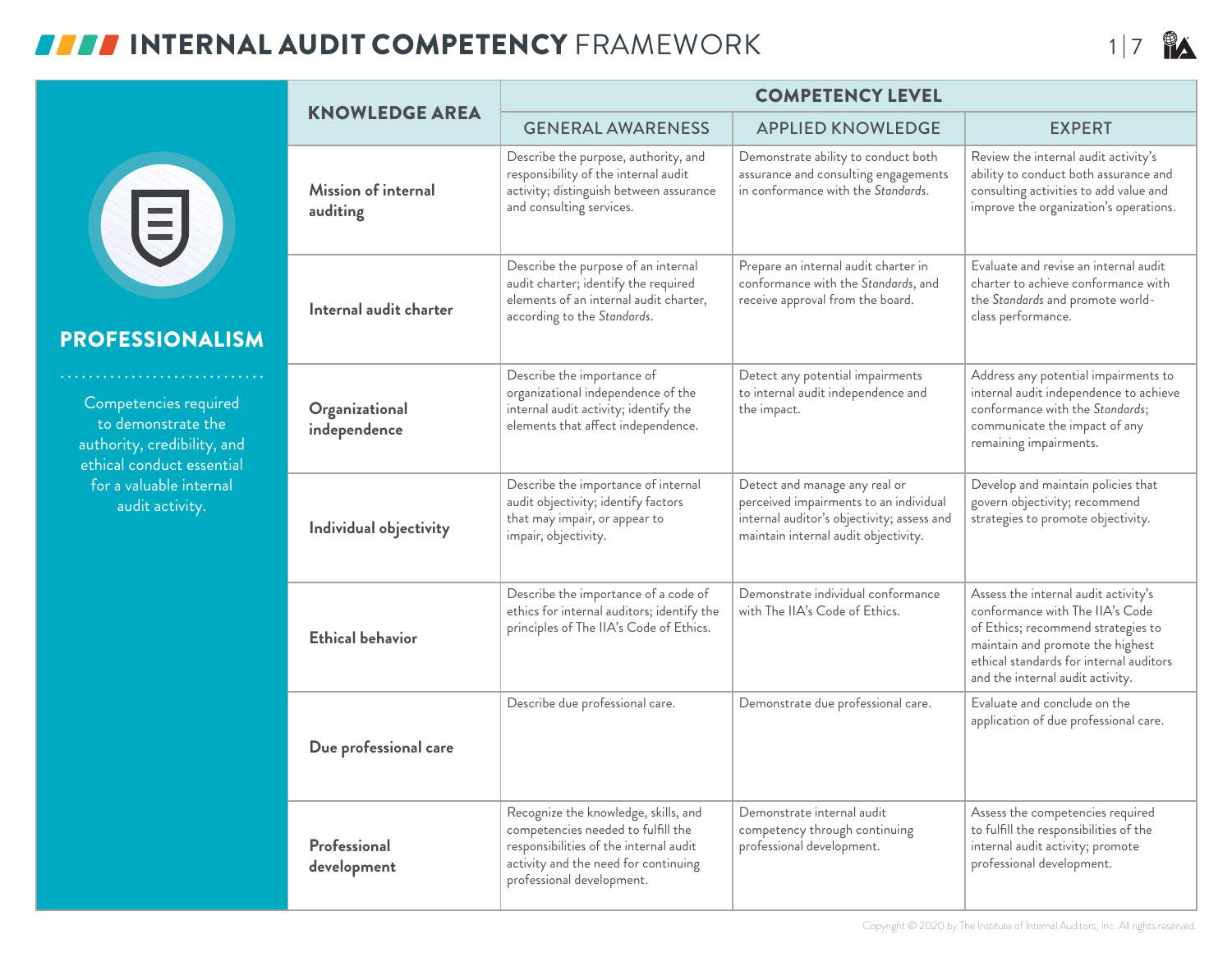## **INTERNAL AUDIT COMPETENCY** FRAMEWORK 17



#### PROFESSIONALISM

Competencies required to demonstrate the authority, credibility, and ethical conduct essential for a valuable internal audit activity.

|                                 | <b>COMPETENCY LEVEL</b>                                                                                                                                                                   |                                                                                                                                                               |                                                                                                                                                                                                                                  |  |  |  |
|---------------------------------|-------------------------------------------------------------------------------------------------------------------------------------------------------------------------------------------|---------------------------------------------------------------------------------------------------------------------------------------------------------------|----------------------------------------------------------------------------------------------------------------------------------------------------------------------------------------------------------------------------------|--|--|--|
| <b>KNOWLEDGE AREA</b>           | <b>GENERAL AWARENESS</b>                                                                                                                                                                  | <b>APPLIED KNOWLEDGE</b>                                                                                                                                      | <b>EXPERT</b>                                                                                                                                                                                                                    |  |  |  |
| Mission of internal<br>auditing | Describe the purpose, authority, and<br>responsibility of the internal audit<br>activity; distinguish between assurance<br>and consulting services.                                       | Demonstrate ability to conduct both<br>assurance and consulting engagements<br>in conformance with the Standards.                                             | Review the internal audit activity's<br>ability to conduct both assurance and<br>consulting activities to add value and<br>improve the organization's operations.                                                                |  |  |  |
| Internal audit charter          | Describe the purpose of an internal<br>audit charter; identify the required<br>elements of an internal audit charter,<br>according to the Standards.                                      | Prepare an internal audit charter in<br>conformance with the Standards, and<br>receive approval from the board.                                               | Evaluate and revise an internal audit<br>charter to achieve conformance with<br>the Standards and promote world-<br>class performance.                                                                                           |  |  |  |
| Organizational<br>independence  | Describe the importance of<br>organizational independence of the<br>internal audit activity; identify the<br>elements that affect independence.                                           | Detect any potential impairments<br>to internal audit independence and<br>the impact.                                                                         | Address any potential impairments to<br>internal audit independence to achieve<br>conformance with the Standards;<br>communicate the impact of any<br>remaining impairments.                                                     |  |  |  |
| Individual objectivity          | Describe the importance of internal<br>audit objectivity; identify factors<br>that may impair, or appear to<br>impair, objectivity.                                                       | Detect and manage any real or<br>perceived impairments to an individual<br>internal auditor's objectivity; assess and<br>maintain internal audit objectivity. | Develop and maintain policies that<br>govern objectivity; recommend<br>strategies to promote objectivity.                                                                                                                        |  |  |  |
| <b>Ethical behavior</b>         | Describe the importance of a code of<br>ethics for internal auditors; identify the<br>principles of The IIA's Code of Ethics.                                                             | Demonstrate individual conformance<br>with The IIA's Code of Ethics.                                                                                          | Assess the internal audit activity's<br>conformance with The IIA's Code<br>of Ethics; recommend strategies to<br>maintain and promote the highest<br>ethical standards for internal auditors<br>and the internal audit activity. |  |  |  |
| Due professional care           | Describe due professional care.                                                                                                                                                           | Demonstrate due professional care.                                                                                                                            | Evaluate and conclude on the<br>application of due professional care.                                                                                                                                                            |  |  |  |
| Professional<br>development     | Recognize the knowledge, skills, and<br>competencies needed to fulfill the<br>responsibilities of the internal audit<br>activity and the need for continuing<br>professional development. | Demonstrate internal audit<br>competency through continuing<br>professional development.                                                                      | Assess the competencies required<br>to fulfill the responsibilities of the<br>internal audit activity; promote<br>professional development.                                                                                      |  |  |  |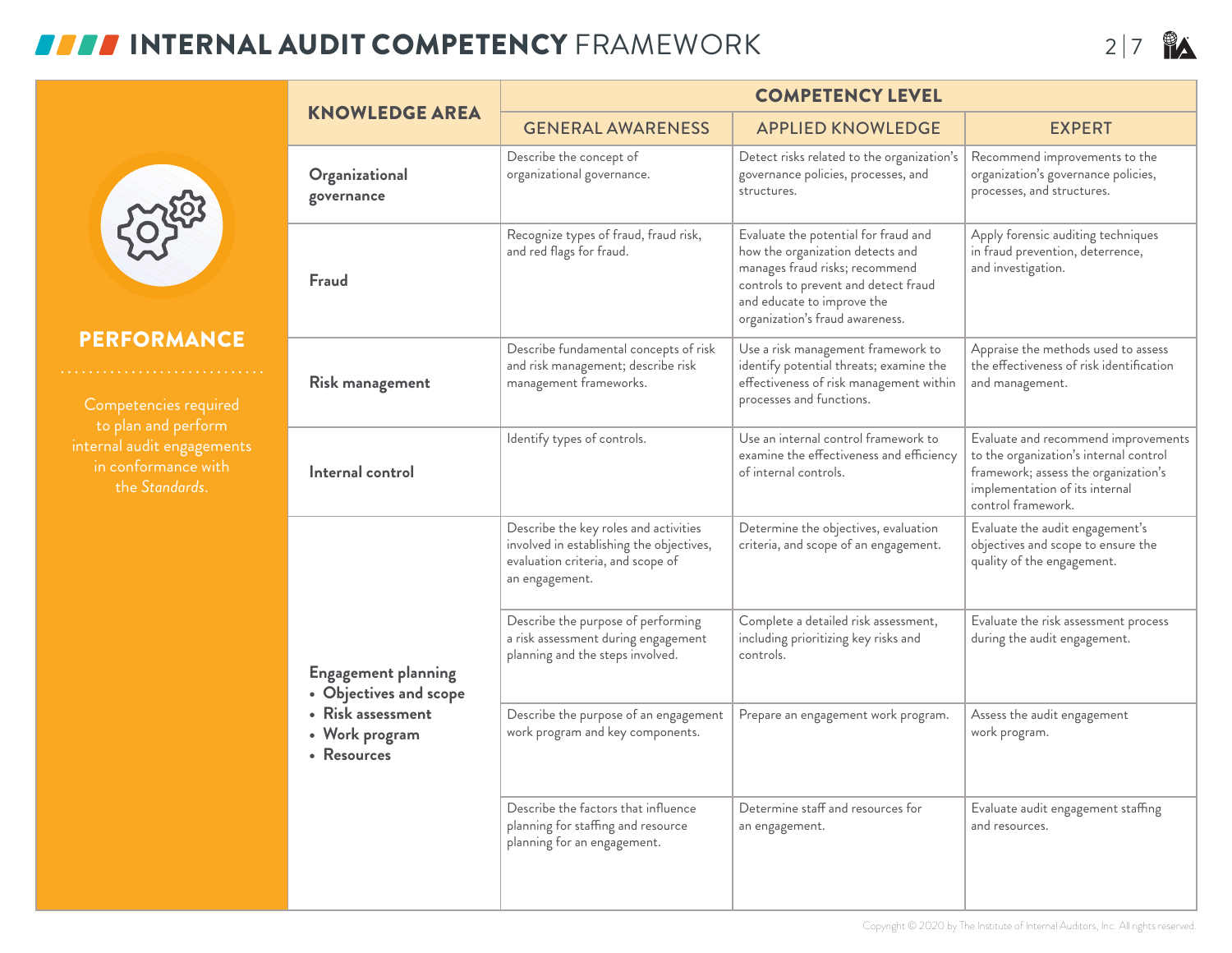## **INTERNAL AUDIT COMPETENCY** FRAMEWORK 2 |7



#### PERFORMANCE

internal audit engagements in conformance with the *Standards*.

|                                                      | <b>COMPETENCY LEVEL</b>                                                                                                                  |                                                                                                                                                                                                                     |                                                                                                                                                                               |  |  |  |
|------------------------------------------------------|------------------------------------------------------------------------------------------------------------------------------------------|---------------------------------------------------------------------------------------------------------------------------------------------------------------------------------------------------------------------|-------------------------------------------------------------------------------------------------------------------------------------------------------------------------------|--|--|--|
| <b>KNOWLEDGE AREA</b>                                | <b>GENERAL AWARENESS</b>                                                                                                                 | <b>APPLIED KNOWLEDGE</b>                                                                                                                                                                                            | <b>EXPERT</b>                                                                                                                                                                 |  |  |  |
| Organizational<br>governance                         | Describe the concept of<br>organizational governance.                                                                                    | Detect risks related to the organization's<br>governance policies, processes, and<br>structures.                                                                                                                    | Recommend improvements to the<br>organization's governance policies,<br>processes, and structures.                                                                            |  |  |  |
| Fraud                                                | Recognize types of fraud, fraud risk,<br>and red flags for fraud.                                                                        | Evaluate the potential for fraud and<br>how the organization detects and<br>manages fraud risks; recommend<br>controls to prevent and detect fraud<br>and educate to improve the<br>organization's fraud awareness. | Apply forensic auditing techniques<br>in fraud prevention, deterrence,<br>and investigation.                                                                                  |  |  |  |
| <b>Risk management</b>                               | Describe fundamental concepts of risk<br>and risk management; describe risk<br>management frameworks.                                    | Use a risk management framework to<br>identify potential threats; examine the<br>effectiveness of risk management within<br>processes and functions.                                                                | Appraise the methods used to assess<br>the effectiveness of risk identification<br>and management.                                                                            |  |  |  |
| Internal control                                     | Identify types of controls.                                                                                                              | Use an internal control framework to<br>examine the effectiveness and efficiency<br>of internal controls.                                                                                                           | Evaluate and recommend improvements<br>to the organization's internal control<br>framework; assess the organization's<br>implementation of its internal<br>control framework. |  |  |  |
|                                                      | Describe the key roles and activities<br>involved in establishing the objectives,<br>evaluation criteria, and scope of<br>an engagement. | Determine the objectives, evaluation<br>criteria, and scope of an engagement.                                                                                                                                       | Evaluate the audit engagement's<br>objectives and scope to ensure the<br>quality of the engagement.                                                                           |  |  |  |
| <b>Engagement planning</b><br>• Objectives and scope | Describe the purpose of performing<br>a risk assessment during engagement<br>planning and the steps involved.                            | Complete a detailed risk assessment,<br>including prioritizing key risks and<br>controls.                                                                                                                           | Evaluate the risk assessment process<br>during the audit engagement.                                                                                                          |  |  |  |
| • Risk assessment<br>• Work program<br>• Resources   | Describe the purpose of an engagement<br>work program and key components.                                                                | Prepare an engagement work program.                                                                                                                                                                                 | Assess the audit engagement<br>work program.                                                                                                                                  |  |  |  |
|                                                      | Describe the factors that influence<br>planning for staffing and resource<br>planning for an engagement.                                 | Determine staff and resources for<br>an engagement.                                                                                                                                                                 | Evaluate audit engagement staffing<br>and resources.                                                                                                                          |  |  |  |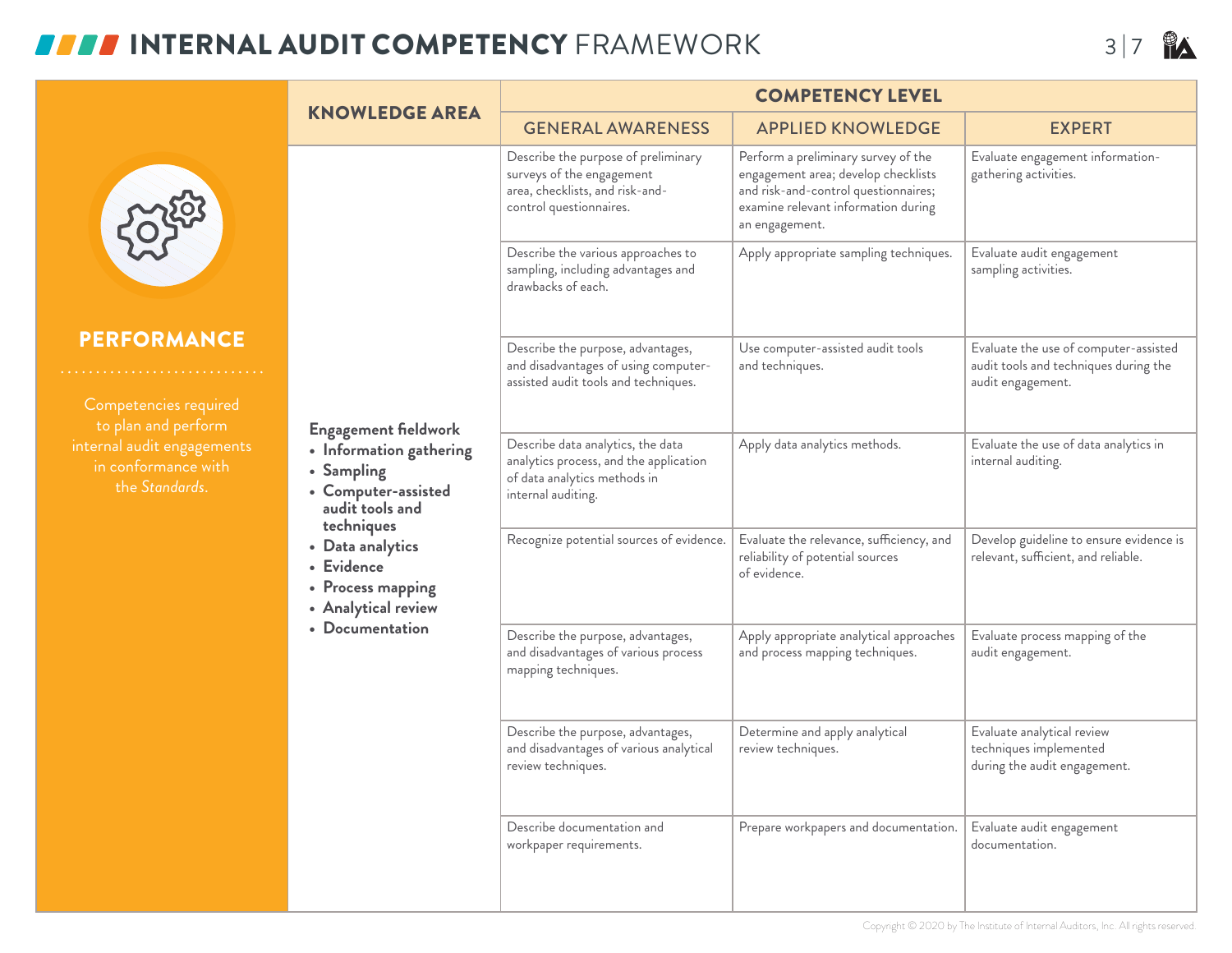## **INTERNAL AUDIT COMPETENCY** FRAMEWORK **3 2 B**

|                                                                                                                                                                                                                                                                                                                                                                            |                                                                                                                   | <b>COMPETENCY LEVEL</b>                                                                                                           |                                                                                                                                                                             |                                                                                      |  |
|----------------------------------------------------------------------------------------------------------------------------------------------------------------------------------------------------------------------------------------------------------------------------------------------------------------------------------------------------------------------------|-------------------------------------------------------------------------------------------------------------------|-----------------------------------------------------------------------------------------------------------------------------------|-----------------------------------------------------------------------------------------------------------------------------------------------------------------------------|--------------------------------------------------------------------------------------|--|
|                                                                                                                                                                                                                                                                                                                                                                            | <b>KNOWLEDGE AREA</b>                                                                                             | <b>GENERAL AWARENESS</b>                                                                                                          | <b>APPLIED KNOWLEDGE</b>                                                                                                                                                    | <b>EXPERT</b>                                                                        |  |
| <b>PERFORMANCE</b><br>Competencies required<br>to plan and perform<br><b>Engagement fieldwork</b><br>internal audit engagements<br>• Information gathering<br>in conformance with<br>• Sampling<br>the Standards.<br>• Computer-assisted<br>audit tools and<br>techniques<br>• Data analytics<br>• Evidence<br>• Process mapping<br>• Analytical review<br>• Documentation |                                                                                                                   | Describe the purpose of preliminary<br>surveys of the engagement<br>area, checklists, and risk-and-<br>control questionnaires.    | Perform a preliminary survey of the<br>engagement area; develop checklists<br>and risk-and-control questionnaires;<br>examine relevant information during<br>an engagement. | Evaluate engagement information-<br>gathering activities.                            |  |
|                                                                                                                                                                                                                                                                                                                                                                            |                                                                                                                   | Describe the various approaches to<br>sampling, including advantages and<br>drawbacks of each.                                    | Apply appropriate sampling techniques.                                                                                                                                      | Evaluate audit engagement<br>sampling activities.                                    |  |
|                                                                                                                                                                                                                                                                                                                                                                            | Describe the purpose, advantages,<br>and disadvantages of using computer-<br>assisted audit tools and techniques. | Use computer-assisted audit tools<br>and techniques.                                                                              | Evaluate the use of computer-assisted<br>audit tools and techniques during the<br>audit engagement.                                                                         |                                                                                      |  |
|                                                                                                                                                                                                                                                                                                                                                                            |                                                                                                                   | Describe data analytics, the data<br>analytics process, and the application<br>of data analytics methods in<br>internal auditing. | Apply data analytics methods.                                                                                                                                               | Evaluate the use of data analytics in<br>internal auditing.                          |  |
|                                                                                                                                                                                                                                                                                                                                                                            |                                                                                                                   | Recognize potential sources of evidence.                                                                                          | Evaluate the relevance, sufficiency, and<br>reliability of potential sources<br>of evidence.                                                                                | Develop guideline to ensure evidence is<br>relevant, sufficient, and reliable.       |  |
|                                                                                                                                                                                                                                                                                                                                                                            |                                                                                                                   | Describe the purpose, advantages,<br>and disadvantages of various process<br>mapping techniques.                                  | Apply appropriate analytical approaches<br>and process mapping techniques.                                                                                                  | Evaluate process mapping of the<br>audit engagement.                                 |  |
|                                                                                                                                                                                                                                                                                                                                                                            |                                                                                                                   | Describe the purpose, advantages,<br>and disadvantages of various analytical<br>review techniques.                                | Determine and apply analytical<br>review techniques.                                                                                                                        | Evaluate analytical review<br>techniques implemented<br>during the audit engagement. |  |
|                                                                                                                                                                                                                                                                                                                                                                            |                                                                                                                   | Describe documentation and<br>workpaper requirements.                                                                             | Prepare workpapers and documentation.                                                                                                                                       | Evaluate audit engagement<br>documentation.                                          |  |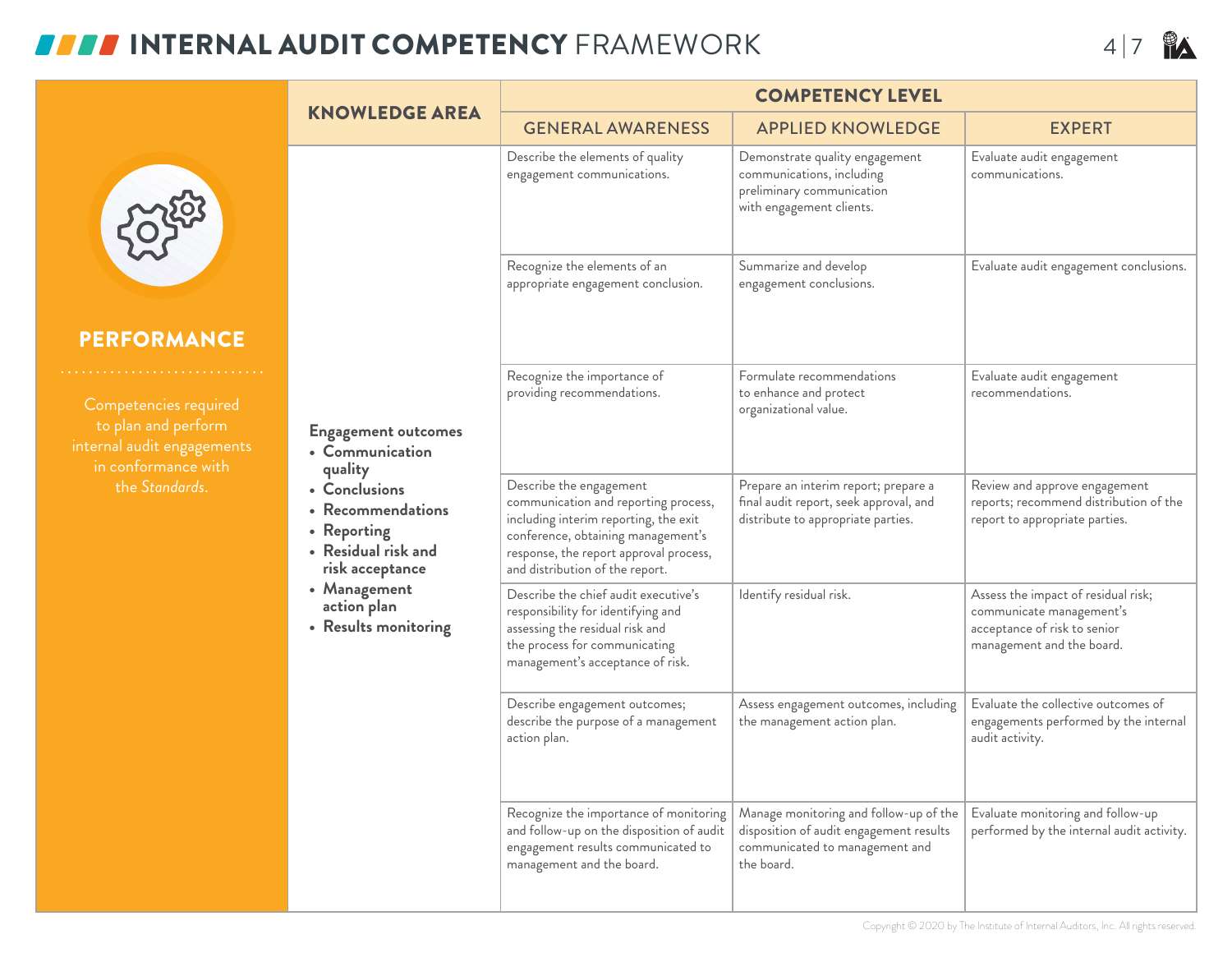# **INTERNAL AUDIT COMPETENCY** FRAMEWORK 4 |7 **R**

|                                                                                                                                                                                                                                                                                                              |                          | <b>COMPETENCY LEVEL</b>                                                                                                                                                                                                     |                                                                                                                                   |                                                                                                                              |  |
|--------------------------------------------------------------------------------------------------------------------------------------------------------------------------------------------------------------------------------------------------------------------------------------------------------------|--------------------------|-----------------------------------------------------------------------------------------------------------------------------------------------------------------------------------------------------------------------------|-----------------------------------------------------------------------------------------------------------------------------------|------------------------------------------------------------------------------------------------------------------------------|--|
| <b>KNOWLEDGE AREA</b>                                                                                                                                                                                                                                                                                        | <b>GENERAL AWARENESS</b> | <b>APPLIED KNOWLEDGE</b>                                                                                                                                                                                                    | <b>EXPERT</b>                                                                                                                     |                                                                                                                              |  |
|                                                                                                                                                                                                                                                                                                              |                          | Describe the elements of quality<br>engagement communications.                                                                                                                                                              | Demonstrate quality engagement<br>communications, including<br>preliminary communication<br>with engagement clients.              | Evaluate audit engagement<br>communications.                                                                                 |  |
|                                                                                                                                                                                                                                                                                                              |                          | Recognize the elements of an<br>appropriate engagement conclusion.                                                                                                                                                          | Summarize and develop<br>engagement conclusions.                                                                                  | Evaluate audit engagement conclusions.                                                                                       |  |
| <b>PERFORMANCE</b><br>Competencies required                                                                                                                                                                                                                                                                  |                          | Recognize the importance of<br>providing recommendations.                                                                                                                                                                   | Formulate recommendations<br>to enhance and protect<br>organizational value.                                                      | Evaluate audit engagement<br>recommendations.                                                                                |  |
| to plan and perform<br><b>Engagement outcomes</b><br>internal audit engagements<br>• Communication<br>in conformance with<br>quality<br>the Standards.<br>• Conclusions<br>• Recommendations<br>• Reporting<br>• Residual risk and<br>risk acceptance<br>• Management<br>action plan<br>• Results monitoring |                          |                                                                                                                                                                                                                             |                                                                                                                                   |                                                                                                                              |  |
|                                                                                                                                                                                                                                                                                                              |                          | Describe the engagement<br>communication and reporting process,<br>including interim reporting, the exit<br>conference, obtaining management's<br>response, the report approval process,<br>and distribution of the report. | Prepare an interim report; prepare a<br>final audit report, seek approval, and<br>distribute to appropriate parties.              | Review and approve engagement<br>reports; recommend distribution of the<br>report to appropriate parties.                    |  |
|                                                                                                                                                                                                                                                                                                              |                          | Describe the chief audit executive's<br>responsibility for identifying and<br>assessing the residual risk and<br>the process for communicating<br>management's acceptance of risk.                                          | Identify residual risk.                                                                                                           | Assess the impact of residual risk;<br>communicate management's<br>acceptance of risk to senior<br>management and the board. |  |
|                                                                                                                                                                                                                                                                                                              |                          | Describe engagement outcomes;<br>describe the purpose of a management<br>action plan.                                                                                                                                       | Assess engagement outcomes, including<br>the management action plan.                                                              | Evaluate the collective outcomes of<br>engagements performed by the internal<br>audit activity.                              |  |
|                                                                                                                                                                                                                                                                                                              |                          | Recognize the importance of monitoring<br>and follow-up on the disposition of audit<br>engagement results communicated to<br>management and the board.                                                                      | Manage monitoring and follow-up of the<br>disposition of audit engagement results<br>communicated to management and<br>the board. | Evaluate monitoring and follow-up<br>performed by the internal audit activity.                                               |  |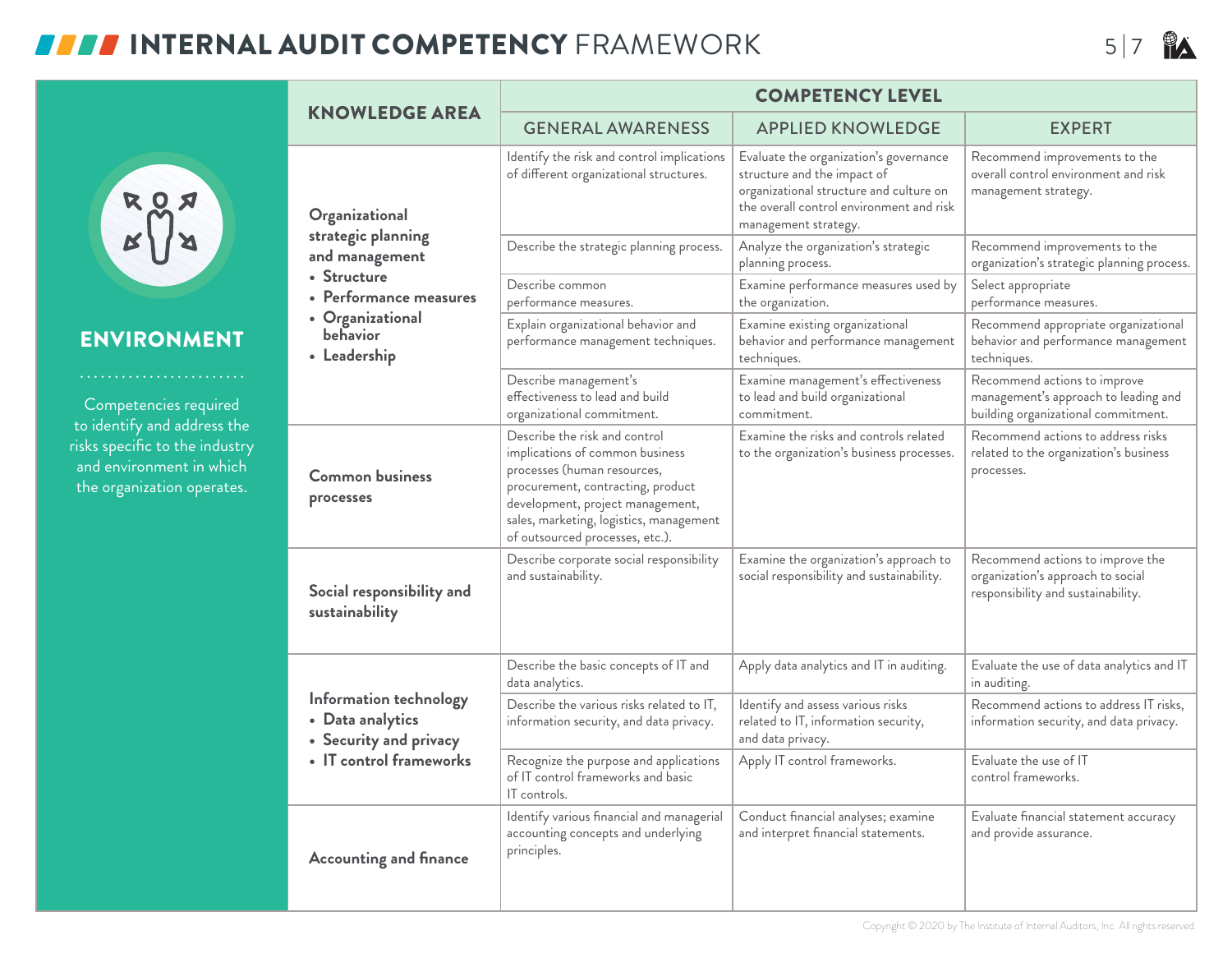#### **INTERNAL AUDIT COMPETENCY** FRAMEWORK 5 |7 **PA**

risks s

|                                                                                                                                                                             | <b>KNOWLEDGE AREA</b>                                                                                                                           | <b>COMPETENCY LEVEL</b>                                                                                                                                                                                                                                |                                                                                                                                                                                      |                                                                                                             |  |
|-----------------------------------------------------------------------------------------------------------------------------------------------------------------------------|-------------------------------------------------------------------------------------------------------------------------------------------------|--------------------------------------------------------------------------------------------------------------------------------------------------------------------------------------------------------------------------------------------------------|--------------------------------------------------------------------------------------------------------------------------------------------------------------------------------------|-------------------------------------------------------------------------------------------------------------|--|
| $R_{\text{N}}^{\text{QZ}}$                                                                                                                                                  |                                                                                                                                                 | <b>GENERAL AWARENESS</b>                                                                                                                                                                                                                               | <b>APPLIED KNOWLEDGE</b>                                                                                                                                                             | <b>EXPERT</b>                                                                                               |  |
|                                                                                                                                                                             | Organizational<br>strategic planning<br>and management<br>• Structure<br>• Performance measures<br>• Organizational<br>behavior<br>• Leadership | Identify the risk and control implications<br>of different organizational structures.                                                                                                                                                                  | Evaluate the organization's governance<br>structure and the impact of<br>organizational structure and culture on<br>the overall control environment and risk<br>management strategy. | Recommend improvements to the<br>overall control environment and risk<br>management strategy.               |  |
|                                                                                                                                                                             |                                                                                                                                                 | Describe the strategic planning process.                                                                                                                                                                                                               | Analyze the organization's strategic<br>planning process.                                                                                                                            | Recommend improvements to the<br>organization's strategic planning process.                                 |  |
|                                                                                                                                                                             |                                                                                                                                                 | Describe common<br>performance measures.                                                                                                                                                                                                               | Examine performance measures used by<br>the organization.                                                                                                                            | Select appropriate<br>performance measures.                                                                 |  |
| <b>ENVIRONMENT</b><br>.<br>Competencies required<br>to identify and address the<br>risks specific to the industry<br>and environment in which<br>the organization operates. |                                                                                                                                                 | Explain organizational behavior and<br>performance management techniques.                                                                                                                                                                              | Examine existing organizational<br>behavior and performance management<br>techniques.                                                                                                | Recommend appropriate organizational<br>behavior and performance management<br>techniques.                  |  |
|                                                                                                                                                                             |                                                                                                                                                 | Describe management's<br>effectiveness to lead and build<br>organizational commitment.                                                                                                                                                                 | Examine management's effectiveness<br>to lead and build organizational<br>commitment.                                                                                                | Recommend actions to improve<br>management's approach to leading and<br>building organizational commitment. |  |
|                                                                                                                                                                             | <b>Common business</b><br>processes                                                                                                             | Describe the risk and control<br>implications of common business<br>processes (human resources,<br>procurement, contracting, product<br>development, project management,<br>sales, marketing, logistics, management<br>of outsourced processes, etc.). | Examine the risks and controls related<br>to the organization's business processes.                                                                                                  | Recommend actions to address risks<br>related to the organization's business<br>processes.                  |  |
|                                                                                                                                                                             | Social responsibility and<br>sustainability                                                                                                     | Describe corporate social responsibility<br>and sustainability.                                                                                                                                                                                        | Examine the organization's approach to<br>social responsibility and sustainability.                                                                                                  | Recommend actions to improve the<br>organization's approach to social<br>responsibility and sustainability. |  |
|                                                                                                                                                                             |                                                                                                                                                 | Describe the basic concepts of IT and<br>data analytics.                                                                                                                                                                                               | Apply data analytics and IT in auditing.                                                                                                                                             | Evaluate the use of data analytics and IT<br>in auditing.                                                   |  |
|                                                                                                                                                                             | Information technology<br>• Data analytics<br>• Security and privacy                                                                            | Describe the various risks related to IT,<br>information security, and data privacy.                                                                                                                                                                   | Identify and assess various risks<br>related to IT, information security,<br>and data privacy.                                                                                       | Recommend actions to address IT risks,<br>information security, and data privacy.                           |  |
|                                                                                                                                                                             | • IT control frameworks                                                                                                                         | Recognize the purpose and applications<br>of IT control frameworks and basic<br>IT controls.                                                                                                                                                           | Apply IT control frameworks.                                                                                                                                                         | Evaluate the use of IT<br>control frameworks.                                                               |  |
|                                                                                                                                                                             | <b>Accounting and finance</b>                                                                                                                   | Identify various financial and managerial<br>accounting concepts and underlying<br>principles.                                                                                                                                                         | Conduct financial analyses; examine<br>and interpret financial statements.                                                                                                           | Evaluate financial statement accuracy<br>and provide assurance.                                             |  |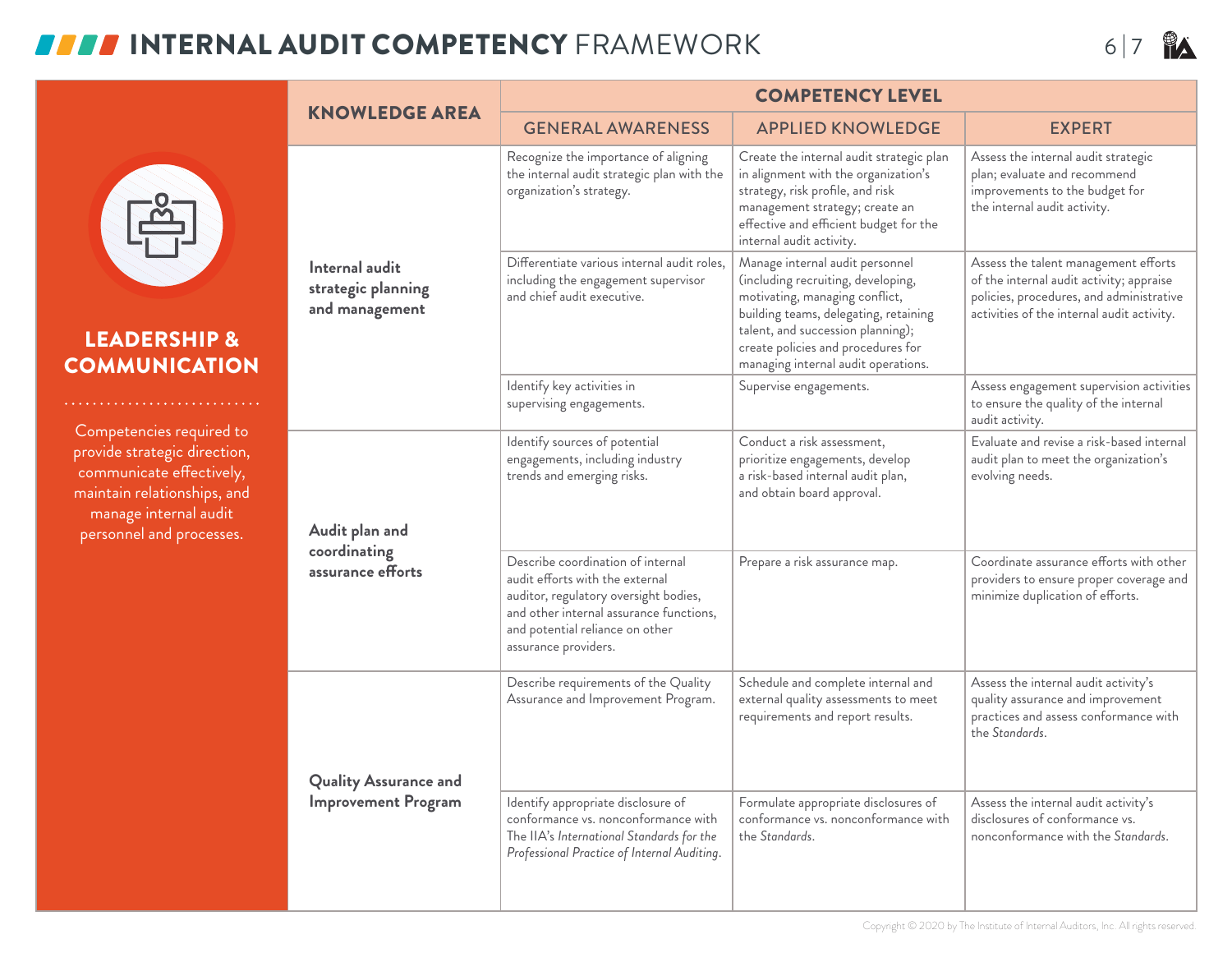### **INTERNAL AUDIT COMPETENCY** FRAMEWORK 6 |7 **PA**

CO

pro

|                                                                                                                                                                          |                                                            | <b>COMPETENCY LEVEL</b>                                                                                                                                                                                             |                                                                                                                                                                                                                                                                    |                                                                                                                                                                            |  |
|--------------------------------------------------------------------------------------------------------------------------------------------------------------------------|------------------------------------------------------------|---------------------------------------------------------------------------------------------------------------------------------------------------------------------------------------------------------------------|--------------------------------------------------------------------------------------------------------------------------------------------------------------------------------------------------------------------------------------------------------------------|----------------------------------------------------------------------------------------------------------------------------------------------------------------------------|--|
|                                                                                                                                                                          | <b>KNOWLEDGE AREA</b>                                      | <b>GENERAL AWARENESS</b>                                                                                                                                                                                            | <b>APPLIED KNOWLEDGE</b>                                                                                                                                                                                                                                           | <b>EXPERT</b>                                                                                                                                                              |  |
| E<br><b>LEADERSHIP &amp;</b><br><b>COMMUNICATION</b>                                                                                                                     | Internal audit<br>strategic planning<br>and management     | Recognize the importance of aligning<br>the internal audit strategic plan with the<br>organization's strategy.                                                                                                      | Create the internal audit strategic plan<br>in alignment with the organization's<br>strategy, risk profile, and risk<br>management strategy; create an<br>effective and efficient budget for the<br>internal audit activity.                                       | Assess the internal audit strategic<br>plan; evaluate and recommend<br>improvements to the budget for<br>the internal audit activity.                                      |  |
|                                                                                                                                                                          |                                                            | Differentiate various internal audit roles,<br>including the engagement supervisor<br>and chief audit executive.                                                                                                    | Manage internal audit personnel<br>(including recruiting, developing,<br>motivating, managing conflict,<br>building teams, delegating, retaining<br>talent, and succession planning);<br>create policies and procedures for<br>managing internal audit operations. | Assess the talent management efforts<br>of the internal audit activity; appraise<br>policies, procedures, and administrative<br>activities of the internal audit activity. |  |
| .                                                                                                                                                                        |                                                            | Identify key activities in<br>supervising engagements.                                                                                                                                                              | Supervise engagements.                                                                                                                                                                                                                                             | Assess engagement supervision activities<br>to ensure the quality of the internal<br>audit activity.                                                                       |  |
| Competencies required to<br>provide strategic direction,<br>communicate effectively,<br>maintain relationships, and<br>manage internal audit<br>personnel and processes. | Audit plan and<br>coordinating<br>assurance efforts        | Identify sources of potential<br>engagements, including industry<br>trends and emerging risks.                                                                                                                      | Conduct a risk assessment,<br>prioritize engagements, develop<br>a risk-based internal audit plan,<br>and obtain board approval.                                                                                                                                   | Evaluate and revise a risk-based internal<br>audit plan to meet the organization's<br>evolving needs.                                                                      |  |
|                                                                                                                                                                          |                                                            | Describe coordination of internal<br>audit efforts with the external<br>auditor, regulatory oversight bodies,<br>and other internal assurance functions,<br>and potential reliance on other<br>assurance providers. | Prepare a risk assurance map.                                                                                                                                                                                                                                      | Coordinate assurance efforts with other<br>providers to ensure proper coverage and<br>minimize duplication of efforts.                                                     |  |
|                                                                                                                                                                          |                                                            | Describe requirements of the Quality<br>Assurance and Improvement Program.                                                                                                                                          | Schedule and complete internal and<br>external quality assessments to meet<br>requirements and report results.                                                                                                                                                     | Assess the internal audit activity's<br>quality assurance and improvement<br>practices and assess conformance with<br>the Standards.                                       |  |
|                                                                                                                                                                          | <b>Quality Assurance and</b><br><b>Improvement Program</b> | Identify appropriate disclosure of<br>conformance vs. nonconformance with<br>The IIA's International Standards for the<br>Professional Practice of Internal Auditing.                                               | Formulate appropriate disclosures of<br>conformance vs. nonconformance with<br>the Standards.                                                                                                                                                                      | Assess the internal audit activity's<br>disclosures of conformance vs.<br>nonconformance with the Standards.                                                               |  |